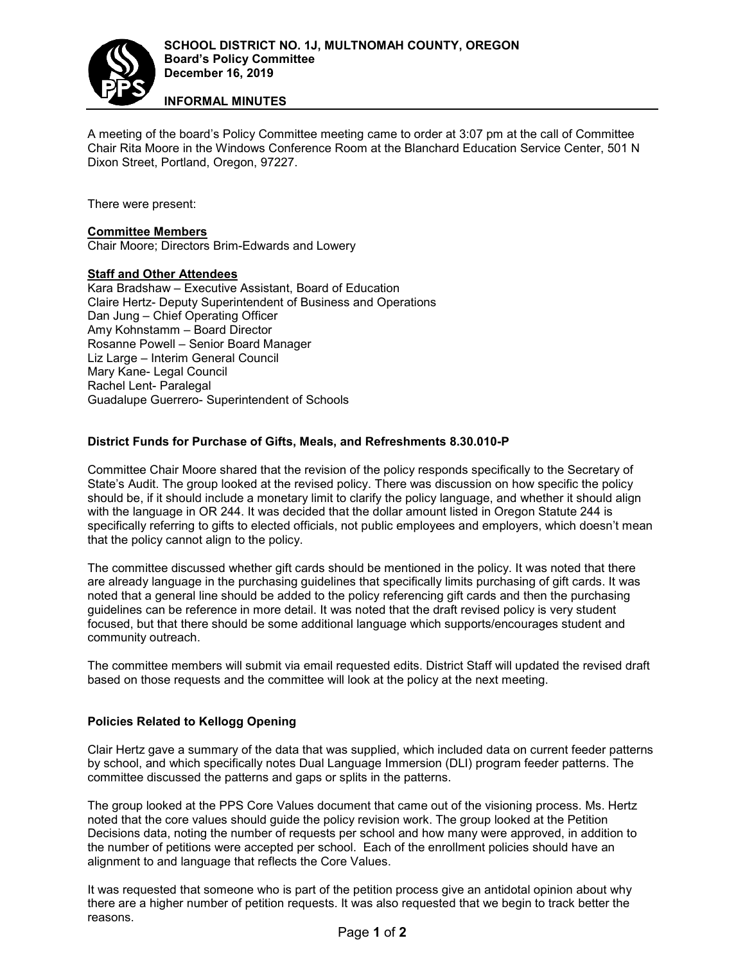

### **INFORMAL MINUTES**

A meeting of the board's Policy Committee meeting came to order at 3:07 pm at the call of Committee Chair Rita Moore in the Windows Conference Room at the Blanchard Education Service Center, 501 N Dixon Street, Portland, Oregon, 97227.

There were present:

#### **Committee Members**

Chair Moore; Directors Brim-Edwards and Lowery

# **Staff and Other Attendees**

Kara Bradshaw – Executive Assistant, Board of Education Claire Hertz- Deputy Superintendent of Business and Operations Dan Jung – Chief Operating Officer Amy Kohnstamm – Board Director Rosanne Powell – Senior Board Manager Liz Large – Interim General Council Mary Kane- Legal Council Rachel Lent- Paralegal Guadalupe Guerrero- Superintendent of Schools

# **District Funds for Purchase of Gifts, Meals, and Refreshments 8.30.010-P**

Committee Chair Moore shared that the revision of the policy responds specifically to the Secretary of State's Audit. The group looked at the revised policy. There was discussion on how specific the policy should be, if it should include a monetary limit to clarify the policy language, and whether it should align with the language in OR 244. It was decided that the dollar amount listed in Oregon Statute 244 is specifically referring to gifts to elected officials, not public employees and employers, which doesn't mean that the policy cannot align to the policy.

The committee discussed whether gift cards should be mentioned in the policy. It was noted that there are already language in the purchasing guidelines that specifically limits purchasing of gift cards. It was noted that a general line should be added to the policy referencing gift cards and then the purchasing guidelines can be reference in more detail. It was noted that the draft revised policy is very student focused, but that there should be some additional language which supports/encourages student and community outreach.

The committee members will submit via email requested edits. District Staff will updated the revised draft based on those requests and the committee will look at the policy at the next meeting.

# **Policies Related to Kellogg Opening**

Clair Hertz gave a summary of the data that was supplied, which included data on current feeder patterns by school, and which specifically notes Dual Language Immersion (DLI) program feeder patterns. The committee discussed the patterns and gaps or splits in the patterns.

The group looked at the PPS Core Values document that came out of the visioning process. Ms. Hertz noted that the core values should guide the policy revision work. The group looked at the Petition Decisions data, noting the number of requests per school and how many were approved, in addition to the number of petitions were accepted per school. Each of the enrollment policies should have an alignment to and language that reflects the Core Values.

It was requested that someone who is part of the petition process give an antidotal opinion about why there are a higher number of petition requests. It was also requested that we begin to track better the reasons.